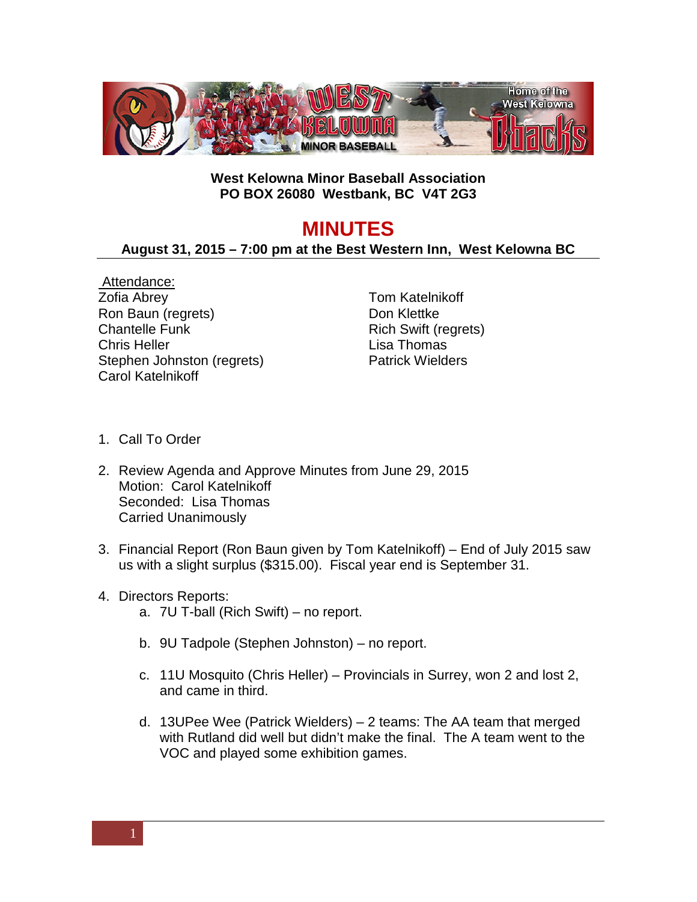

## **West Kelowna Minor Baseball Association PO BOX 26080 Westbank, BC V4T 2G3**

## **MINUTES**

## **August 31, 2015 – 7:00 pm at the Best Western Inn, West Kelowna BC**

Attendance: Zofia Abrey Ron Baun (regrets) Chantelle Funk Chris Heller Stephen Johnston (regrets) Carol Katelnikoff

Tom Katelnikoff Don Klettke Rich Swift (regrets) Lisa Thomas Patrick Wielders

- 1. Call To Order
- 2. Review Agenda and Approve Minutes from June 29, 2015 Motion: Carol Katelnikoff Seconded: Lisa Thomas Carried Unanimously
- 3. Financial Report (Ron Baun given by Tom Katelnikoff) End of July 2015 saw us with a slight surplus (\$315.00). Fiscal year end is September 31.
- 4. Directors Reports:
	- a. 7U T-ball (Rich Swift) no report.
	- b. 9U Tadpole (Stephen Johnston) no report.
	- c. 11U Mosquito (Chris Heller) Provincials in Surrey, won 2 and lost 2, and came in third.
	- d. 13UPee Wee (Patrick Wielders) 2 teams: The AA team that merged with Rutland did well but didn't make the final. The A team went to the VOC and played some exhibition games.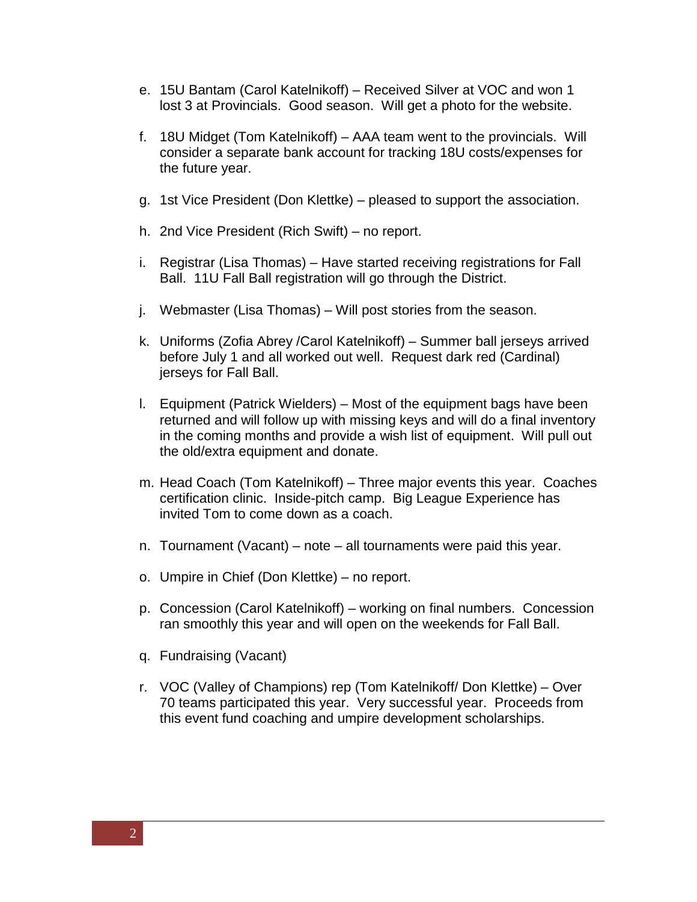- e. 15U Bantam (Carol Katelnikoff) Received Silver at VOC and won 1 lost 3 at Provincials. Good season. Will get a photo for the website.
- f. 18U Midget (Tom Katelnikoff) AAA team went to the provincials. Will consider a separate bank account for tracking 18U costs/expenses for the future year.
- g. 1st Vice President (Don Klettke) pleased to support the association.
- h. 2nd Vice President (Rich Swift) no report.
- i. Registrar (Lisa Thomas) Have started receiving registrations for Fall Ball. 11U Fall Ball registration will go through the District.
- j. Webmaster (Lisa Thomas) Will post stories from the season.
- k. Uniforms (Zofia Abrey /Carol Katelnikoff) Summer ball jerseys arrived before July 1 and all worked out well. Request dark red (Cardinal) jerseys for Fall Ball.
- l. Equipment (Patrick Wielders) Most of the equipment bags have been returned and will follow up with missing keys and will do a final inventory in the coming months and provide a wish list of equipment. Will pull out the old/extra equipment and donate.
- m. Head Coach (Tom Katelnikoff) Three major events this year. Coaches certification clinic. Inside-pitch camp. Big League Experience has invited Tom to come down as a coach.
- n. Tournament (Vacant) note all tournaments were paid this year.
- o. Umpire in Chief (Don Klettke) no report.
- p. Concession (Carol Katelnikoff) working on final numbers. Concession ran smoothly this year and will open on the weekends for Fall Ball.
- q. Fundraising (Vacant)
- r. VOC (Valley of Champions) rep (Tom Katelnikoff/ Don Klettke) Over 70 teams participated this year. Very successful year. Proceeds from this event fund coaching and umpire development scholarships.